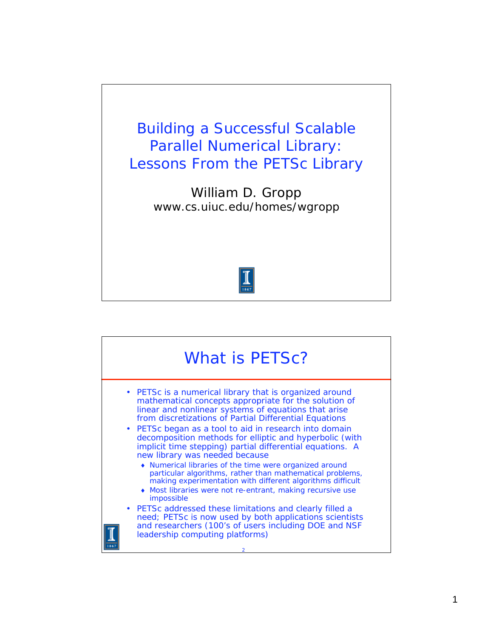

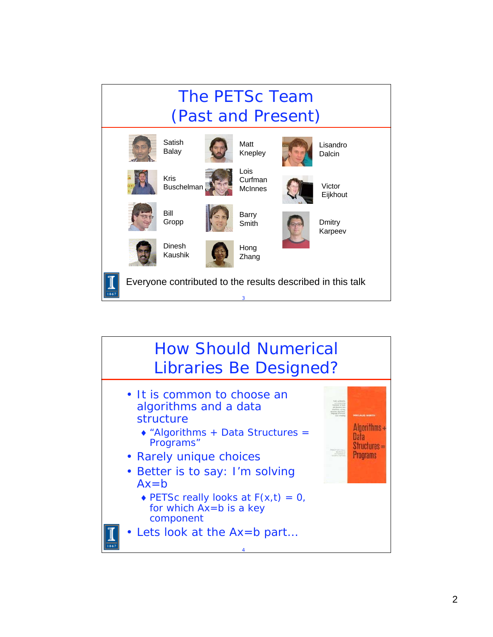

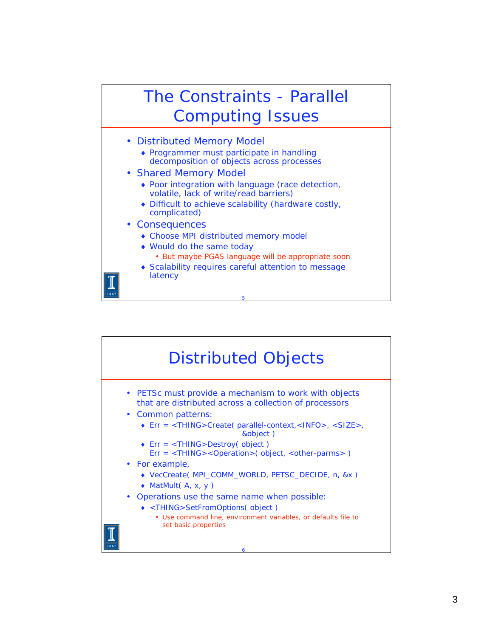

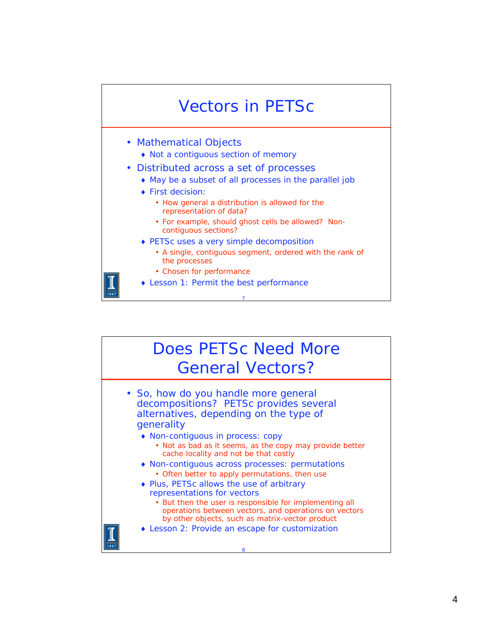

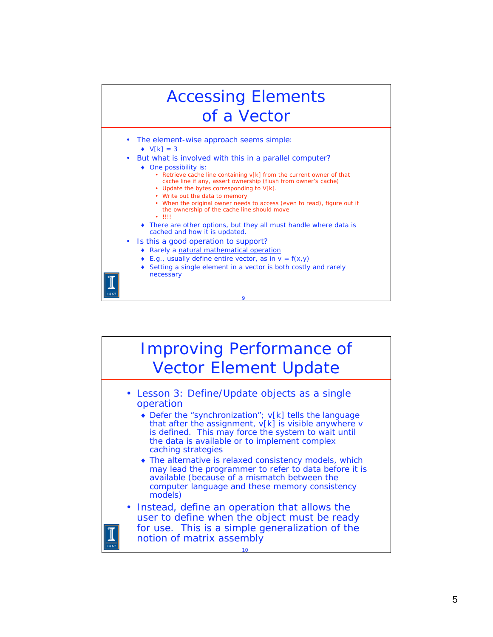

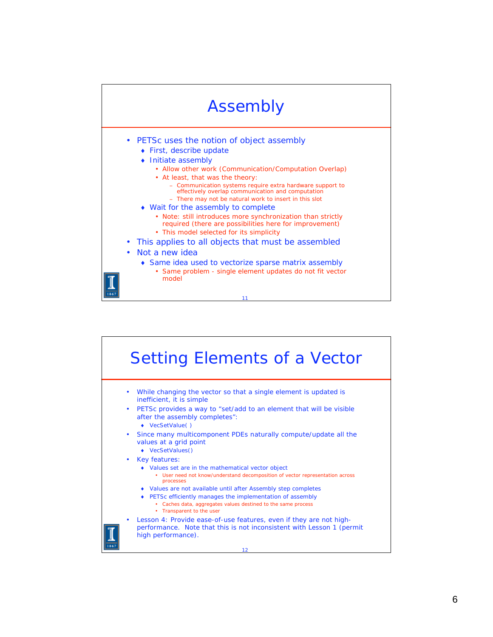

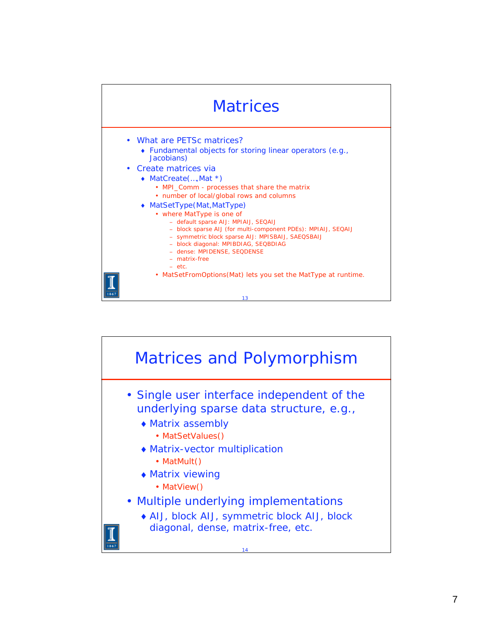

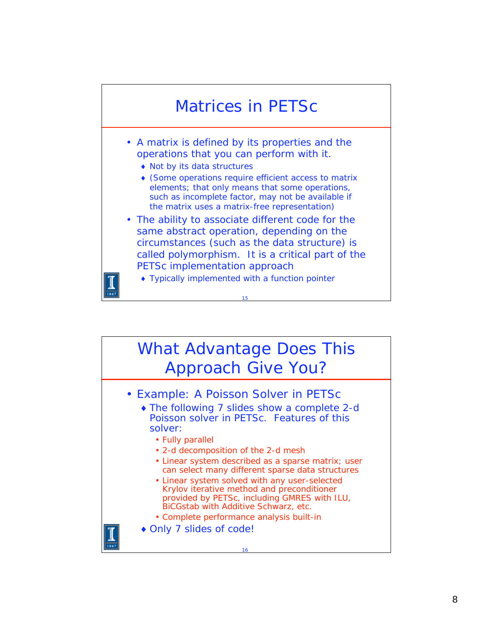

## What Advantage Does This Approach Give You?



- The following 7 slides show a complete 2-d Poisson solver in PETSc. Features of this solver:
	- Fully parallel
	- 2-d decomposition of the 2-d mesh
	- Linear system described as a sparse matrix; user can select many different sparse data structures
	- Linear system solved with any user-selected Krylov iterative method and preconditioner provided by PETSc, including GMRES with ILU, BiCGstab with Additive Schwarz, etc.
	- Complete performance analysis built-in
- ◆ Only 7 slides of code!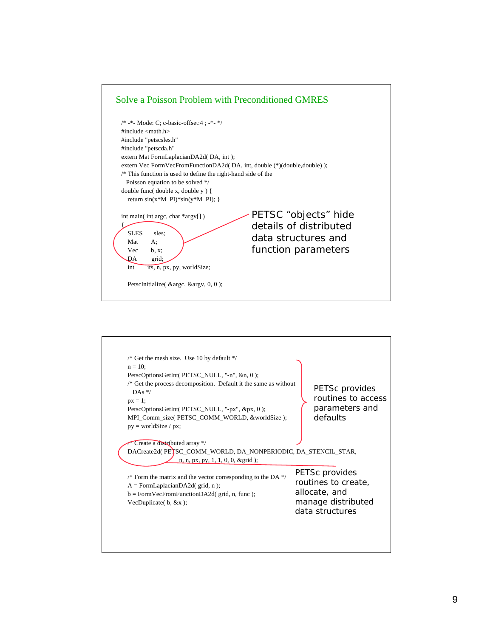

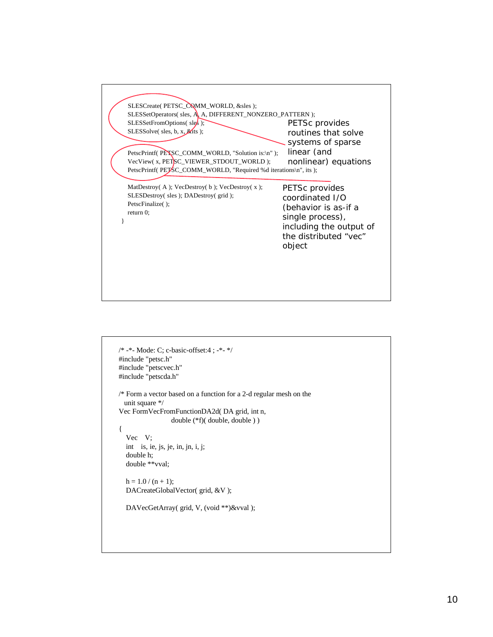

```
/* -*- Mode: C; c-basic-offset:4 ; -*- */
#include "petsc.h"
#include "petscvec.h"
#include "petscda.h"
/* Form a vector based on a function for a 2-d regular mesh on the 
   unit square */
Vec FormVecFromFunctionDA2d( DA grid, int n, 
                   double (*f)( double, double ) )
{
   Vec V;
   int is, ie, js, je, in, jn, i, j;
   double h;
   double **vval;
  h = 1.0 / (n + 1); DACreateGlobalVector( grid, &V );
   DAVecGetArray( grid, V, (void **)&vval );
```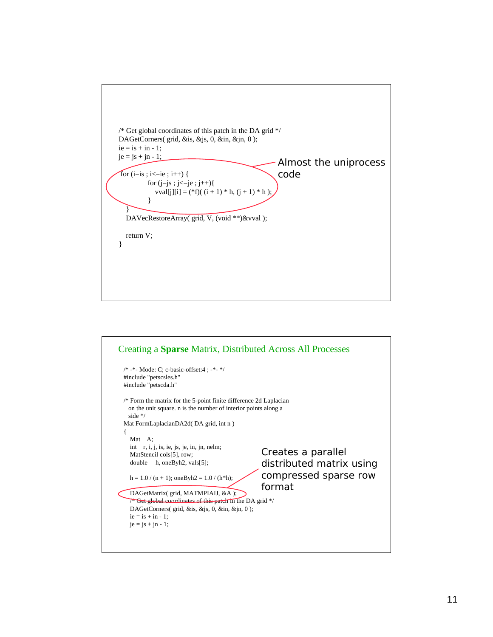

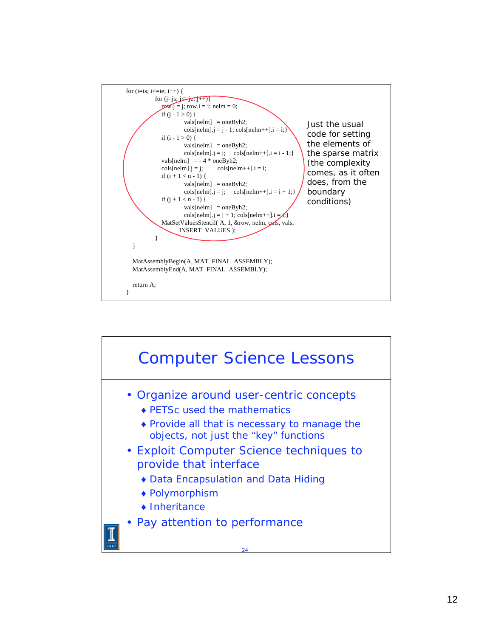